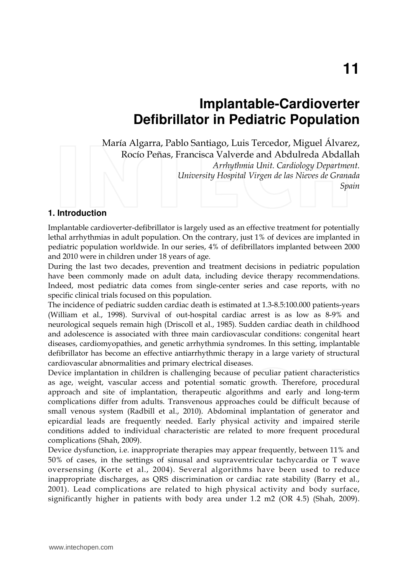# **Implantable-Cardioverter Defibrillator in Pediatric Population**

María Algarra, Pablo Santiago, Luis Tercedor, Miguel Álvarez, Rocío Peñas, Francisca Valverde and Abdulreda Abdallah *Arrhythmia Unit. Cardiology Department. University Hospital Virgen de las Nieves de Granada Spain* 

#### **1. Introduction**

Implantable cardioverter-defibrillator is largely used as an effective treatment for potentially lethal arrhythmias in adult population. On the contrary, just 1% of devices are implanted in pediatric population worldwide. In our series, 4% of defibrillators implanted between 2000 and 2010 were in children under 18 years of age.

During the last two decades, prevention and treatment decisions in pediatric population have been commonly made on adult data, including device therapy recommendations. Indeed, most pediatric data comes from single-center series and case reports, with no specific clinical trials focused on this population.

The incidence of pediatric sudden cardiac death is estimated at 1.3-8.5:100.000 patients-years (William et al., 1998). Survival of out-hospital cardiac arrest is as low as 8-9% and neurological sequels remain high (Driscoll et al., 1985). Sudden cardiac death in childhood and adolescence is associated with three main cardiovascular conditions: congenital heart diseases, cardiomyopathies, and genetic arrhythmia syndromes. In this setting, implantable defibrillator has become an effective antiarrhythmic therapy in a large variety of structural cardiovascular abnormalities and primary electrical diseases.

Device implantation in children is challenging because of peculiar patient characteristics as age, weight, vascular access and potential somatic growth. Therefore, procedural approach and site of implantation, therapeutic algorithms and early and long-term complications differ from adults. Transvenous approaches could be difficult because of small venous system (Radbill et al., 2010). Abdominal implantation of generator and epicardial leads are frequently needed. Early physical activity and impaired sterile conditions added to individual characteristic are related to more frequent procedural complications (Shah, 2009).

Device dysfunction, i.e. inappropriate therapies may appear frequently, between 11% and 50% of cases, in the settings of sinusal and supraventricular tachycardia or T wave oversensing (Korte et al., 2004). Several algorithms have been used to reduce inappropriate discharges, as QRS discrimination or cardiac rate stability (Barry et al., 2001). Lead complications are related to high physical activity and body surface, significantly higher in patients with body area under 1.2 m2 (OR 4.5) (Shah, 2009).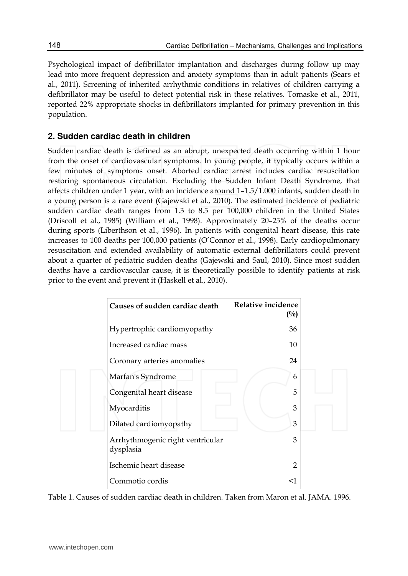Psychological impact of defibrillator implantation and discharges during follow up may lead into more frequent depression and anxiety symptoms than in adult patients (Sears et al., 2011). Screening of inherited arrhythmic conditions in relatives of children carrying a defibrillator may be useful to detect potential risk in these relatives. Tomaske et al., 2011, reported 22% appropriate shocks in defibrillators implanted for primary prevention in this population.

## **2. Sudden cardiac death in children**

Sudden cardiac death is defined as an abrupt, unexpected death occurring within 1 hour from the onset of cardiovascular symptoms. In young people, it typically occurs within a few minutes of symptoms onset. Aborted cardiac arrest includes cardiac resuscitation restoring spontaneous circulation. Excluding the Sudden Infant Death Syndrome, that affects children under 1 year, with an incidence around 1–1.5/1.000 infants, sudden death in a young person is a rare event (Gajewski et al., 2010). The estimated incidence of pediatric sudden cardiac death ranges from 1.3 to 8.5 per 100,000 children in the United States (Driscoll et al., 1985) (William et al., 1998). Approximately 20–25% of the deaths occur during sports (Liberthson et al., 1996). In patients with congenital heart disease, this rate increases to 100 deaths per 100,000 patients (O'Connor et al., 1998). Early cardiopulmonary resuscitation and extended availability of automatic external defibrillators could prevent about a quarter of pediatric sudden deaths (Gajewski and Saul, 2010). Since most sudden deaths have a cardiovascular cause, it is theoretically possible to identify patients at risk prior to the event and prevent it (Haskell et al., 2010).

| Causes of sudden cardiac death                | Relative incidence<br>$\binom{0}{0}$ |
|-----------------------------------------------|--------------------------------------|
| Hypertrophic cardiomyopathy                   | 36                                   |
| Increased cardiac mass                        | 10                                   |
| Coronary arteries anomalies                   | 24                                   |
| Marfan's Syndrome                             | 6                                    |
| Congenital heart disease                      | 5                                    |
| Myocarditis                                   | 3                                    |
| Dilated cardiomyopathy                        | 3                                    |
| Arrhythmogenic right ventricular<br>dysplasia | 3                                    |
| Ischemic heart disease                        | $\overline{2}$                       |
| Commotio cordis                               | $<$ 1                                |

Table 1. Causes of sudden cardiac death in children. Taken from Maron et al. JAMA. 1996.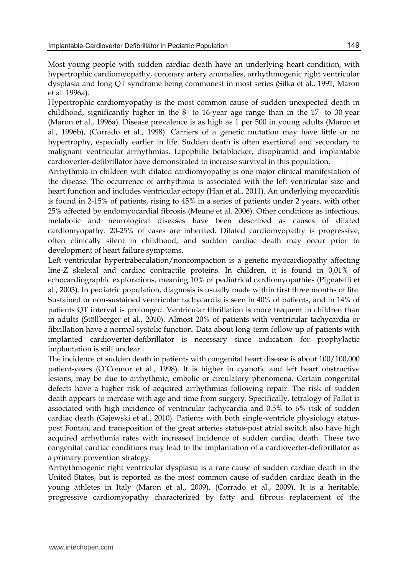Most young people with sudden cardiac death have an underlying heart condition, with hypertrophic cardiomyopathy, coronary artery anomalies, arrhythmogenic right ventricular dysplasia and long QT syndrome being commonest in most series (Silka et al., 1991, Maron et al. 1996a).

Hypertrophic cardiomyopathy is the most common cause of sudden unexpected death in childhood, significantly higher in the 8- to 16-year age range than in the 17- to 30-year (Maron et al., 1996a). Disease prevalence is as high as 1 per 500 in young adults (Maron et al., 1996b), (Corrado et al., 1998). Carriers of a genetic mutation may have little or no hypertrophy, especially earlier in life. Sudden death is often exertional and secondary to malignant ventricular arrhythmias. Lipophilic betablocker, disopiramid and implantable cardioverter-defibrillator have demonstrated to increase survival in this population.

Arrhythmia in children with dilated cardiomyopathy is one major clinical manifestation of the disease. The occurrence of arrhythmia is associated with the left ventricular size and heart function and includes ventricular ectopy (Han et al., 2011). An underlying myocarditis is found in 2-15% of patients, rising to 45% in a series of patients under 2 years, with other 25% affected by endomyocardial fibrosis (Meune et al. 2006). Other conditions as infectious, metabolic and neurological diseases have been described as causes of dilated cardiomyopathy. 20-25% of cases are inherited. Dilated cardiomyopathy is progressive, often clinically silent in childhood, and sudden cardiac death may occur prior to development of heart failure symptoms.

Left ventricular hypertrabeculation/noncompaction is a genetic myocardiopathy affecting line-Z skeletal and cardiac contractile proteins. In children, it is found in 0,01% of echocardiographic explorations, meaning 10% of pediatrical cardiomyopathies (Pignatelli et al., 2003). In pediatric population, diagnosis is usually made within first three months of life. Sustained or non-sustained ventricular tachycardia is seen in 40% of patients, and in 14% of patients QT interval is prolonged. Ventricular fibrillation is more frequent in children than in adults (Stöllberger et al., 2010). Almost 20% of patients with ventricular tachycardia or fibrillation have a normal systolic function. Data about long-term follow-up of patients with implanted cardioverter-defibrillator is necessary since indication for prophylactic implantation is still unclear.

The incidence of sudden death in patients with congenital heart disease is about 100/100,000 patient-years (O'Connor et al., 1998). It is higher in cyanotic and left heart obstructive lesions, may be due to arrhythmic, embolic or circulatory phenomena. Certain congenital defects have a higher risk of acquired arrhythmias following repair. The risk of sudden death appears to increase with age and time from surgery. Specifically, tetralogy of Fallot is associated with high incidence of ventricular tachycardia and 0.5% to 6% risk of sudden cardiac death (Gajewski et al., 2010). Patients with both single-ventricle physiology statuspost Fontan, and transposition of the great arteries status-post atrial switch also have high acquired arrhythmia rates with increased incidence of sudden cardiac death. These two congenital cardiac conditions may lead to the implantation of a cardioverter-defibrillator as a primary prevention strategy.

Arrhythmogenic right ventricular dysplasia is a rare cause of sudden cardiac death in the United States, but is reported as the most common cause of sudden cardiac death in the young athletes in Italy (Maron et al., 2009), (Corrado et al., 2009). It is a heritable, progressive cardiomyopathy characterized by fatty and fibrous replacement of the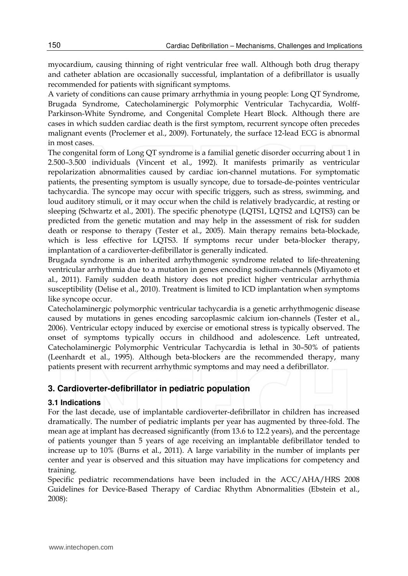myocardium, causing thinning of right ventricular free wall. Although both drug therapy and catheter ablation are occasionally successful, implantation of a defibrillator is usually recommended for patients with significant symptoms.

A variety of conditions can cause primary arrhythmia in young people: Long QT Syndrome, Brugada Syndrome, Catecholaminergic Polymorphic Ventricular Tachycardia, Wolff-Parkinson-White Syndrome, and Congenital Complete Heart Block. Although there are cases in which sudden cardiac death is the first symptom, recurrent syncope often precedes malignant events (Proclemer et al., 2009). Fortunately, the surface 12-lead ECG is abnormal in most cases.

The congenital form of Long QT syndrome is a familial genetic disorder occurring about 1 in 2.500–3.500 individuals (Vincent et al., 1992). It manifests primarily as ventricular repolarization abnormalities caused by cardiac ion-channel mutations. For symptomatic patients, the presenting symptom is usually syncope, due to torsade-de-pointes ventricular tachycardia. The syncope may occur with specific triggers, such as stress, swimming, and loud auditory stimuli, or it may occur when the child is relatively bradycardic, at resting or sleeping (Schwartz et al., 2001). The specific phenotype (LQTS1, LQTS2 and LQTS3) can be predicted from the genetic mutation and may help in the assessment of risk for sudden death or response to therapy (Tester et al., 2005). Main therapy remains beta-blockade, which is less effective for LQTS3. If symptoms recur under beta-blocker therapy, implantation of a cardioverter-defibrillator is generally indicated.

Brugada syndrome is an inherited arrhythmogenic syndrome related to life-threatening ventricular arrhythmia due to a mutation in genes encoding sodium-channels (Miyamoto et al., 2011). Family sudden death history does not predict higher ventricular arrhythmia susceptibility (Delise et al., 2010). Treatment is limited to ICD implantation when symptoms like syncope occur.

Catecholaminergic polymorphic ventricular tachycardia is a genetic arrhythmogenic disease caused by mutations in genes encoding sarcoplasmic calcium ion-channels (Tester et al., 2006). Ventricular ectopy induced by exercise or emotional stress is typically observed. The onset of symptoms typically occurs in childhood and adolescence. Left untreated, Catecholaminergic Polymorphic Ventricular Tachycardia is lethal in 30–50% of patients (Leenhardt et al., 1995). Although beta-blockers are the recommended therapy, many patients present with recurrent arrhythmic symptoms and may need a defibrillator.

## **3. Cardioverter-defibrillator in pediatric population**

#### **3.1 Indications**

For the last decade, use of implantable cardioverter-defibrillator in children has increased dramatically. The number of pediatric implants per year has augmented by three-fold. The mean age at implant has decreased significantly (from 13.6 to 12.2 years), and the percentage of patients younger than 5 years of age receiving an implantable defibrillator tended to increase up to 10% (Burns et al., 2011). A large variability in the number of implants per center and year is observed and this situation may have implications for competency and training.

Specific pediatric recommendations have been included in the ACC/AHA/HRS 2008 Guidelines for Device-Based Therapy of Cardiac Rhythm Abnormalities (Ebstein et al., 2008):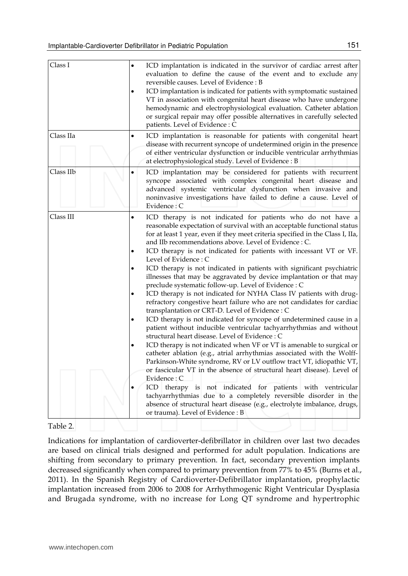| Class I   | ICD implantation is indicated in the survivor of cardiac arrest after<br>٠<br>evaluation to define the cause of the event and to exclude any<br>reversible causes. Level of Evidence: B<br>ICD implantation is indicated for patients with symptomatic sustained<br>$\bullet$<br>VT in association with congenital heart disease who have undergone<br>hemodynamic and electrophysiological evaluation. Catheter ablation<br>or surgical repair may offer possible alternatives in carefully selected<br>patients. Level of Evidence : C                                                                                                                                                                                                                                                                                                                                                                                                                                                                                                                                                                                                                                                                                                                                                                                                                                                                                                                                                                                                                                                 |
|-----------|------------------------------------------------------------------------------------------------------------------------------------------------------------------------------------------------------------------------------------------------------------------------------------------------------------------------------------------------------------------------------------------------------------------------------------------------------------------------------------------------------------------------------------------------------------------------------------------------------------------------------------------------------------------------------------------------------------------------------------------------------------------------------------------------------------------------------------------------------------------------------------------------------------------------------------------------------------------------------------------------------------------------------------------------------------------------------------------------------------------------------------------------------------------------------------------------------------------------------------------------------------------------------------------------------------------------------------------------------------------------------------------------------------------------------------------------------------------------------------------------------------------------------------------------------------------------------------------|
| Class IIa | ICD implantation is reasonable for patients with congenital heart<br>٠<br>disease with recurrent syncope of undetermined origin in the presence<br>of either ventricular dysfunction or inducible ventricular arrhythmias<br>at electrophysiological study. Level of Evidence: B                                                                                                                                                                                                                                                                                                                                                                                                                                                                                                                                                                                                                                                                                                                                                                                                                                                                                                                                                                                                                                                                                                                                                                                                                                                                                                         |
| Class IIb | ICD implantation may be considered for patients with recurrent<br>$\bullet$<br>syncope associated with complex congenital heart disease and<br>advanced systemic ventricular dysfunction when invasive and<br>noninvasive investigations have failed to define a cause. Level of<br>Evidence : C                                                                                                                                                                                                                                                                                                                                                                                                                                                                                                                                                                                                                                                                                                                                                                                                                                                                                                                                                                                                                                                                                                                                                                                                                                                                                         |
| Class III | ICD therapy is not indicated for patients who do not have a<br>٠<br>reasonable expectation of survival with an acceptable functional status<br>for at least 1 year, even if they meet criteria specified in the Class I, IIa,<br>and IIb recommendations above. Level of Evidence : C.<br>ICD therapy is not indicated for patients with incessant VT or VF.<br>٠<br>Level of Evidence: C<br>ICD therapy is not indicated in patients with significant psychiatric<br>٠<br>illnesses that may be aggravated by device implantation or that may<br>preclude systematic follow-up. Level of Evidence : C<br>ICD therapy is not indicated for NYHA Class IV patients with drug-<br>٠<br>refractory congestive heart failure who are not candidates for cardiac<br>transplantation or CRT-D. Level of Evidence : C<br>ICD therapy is not indicated for syncope of undetermined cause in a<br>٠<br>patient without inducible ventricular tachyarrhythmias and without<br>structural heart disease. Level of Evidence : C<br>ICD therapy is not indicated when VF or VT is amenable to surgical or<br>catheter ablation (e.g., atrial arrhythmias associated with the Wolff-<br>Parkinson-White syndrome, RV or LV outflow tract VT, idiopathic VT,<br>or fascicular VT in the absence of structural heart disease). Level of<br>Evidence : C<br>ICD therapy is not indicated for patients with ventricular<br>tachyarrhythmias due to a completely reversible disorder in the<br>absence of structural heart disease (e.g., electrolyte imbalance, drugs,<br>or trauma). Level of Evidence: B |

#### Table 2.

Indications for implantation of cardioverter-defibrillator in children over last two decades are based on clinical trials designed and performed for adult population. Indications are shifting from secondary to primary prevention. In fact, secondary prevention implants decreased significantly when compared to primary prevention from 77% to 45% (Burns et al., 2011). In the Spanish Registry of Cardioverter-Defibrillator implantation, prophylactic implantation increased from 2006 to 2008 for Arrhythmogenic Right Ventricular Dysplasia and Brugada syndrome, with no increase for Long QT syndrome and hypertrophic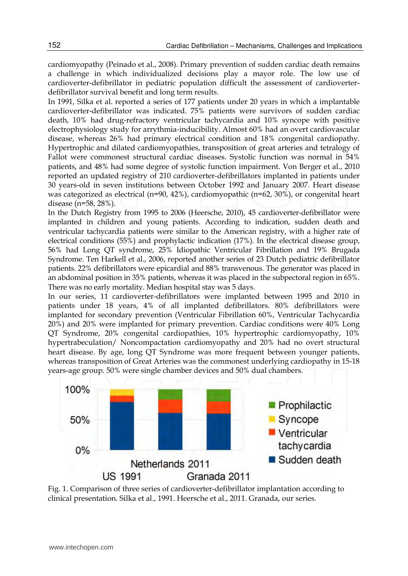cardiomyopathy (Peinado et al., 2008). Primary prevention of sudden cardiac death remains a challenge in which individualized decisions play a mayor role. The low use of cardioverter-defibrillator in pediatric population difficult the assessment of cardioverterdefibrillator survival benefit and long term results.

In 1991, Silka et al. reported a series of 177 patients under 20 years in which a implantable cardioverter-defibrillator was indicated. 75% patients were survivors of sudden cardiac death, 10% had drug-refractory ventricular tachycardia and 10% syncope with positive electrophysiology study for arrythmia-inducibility. Almost 60% had an overt cardiovascular disease, whereas 26% had primary electrical condition and 18% congenital cardiopathy. Hypertrophic and dilated cardiomyopathies, transposition of great arteries and tetralogy of Fallot were commonest structural cardiac diseases. Systolic function was normal in 54% patients, and 48% had some degree of systolic function impairment. Von Berger et al., 2010 reported an updated registry of 210 cardioverter-defibrillators implanted in patients under 30 years-old in seven institutions between October 1992 and January 2007. Heart disease was categorized as electrical (n=90, 42%), cardiomyopathic (n=62, 30%), or congenital heart disease (n=58, 28%).

In the Dutch Registry from 1995 to 2006 (Heersche, 2010), 45 cardioverter-defibrillator were implanted in children and young patients. According to indication, sudden death and ventricular tachycardia patients were similar to the American registry, with a higher rate of electrical conditions (55%) and prophylactic indication (17%). In the electrical disease group, 56% had Long QT syndrome, 25% Idiopathic Ventricular Fibrillation and 19% Brugada Syndrome. Ten Harkell et al., 2006, reported another series of 23 Dutch pediatric defibrillator patients. 22% defibrillators were epicardial and 88% transvenous. The generator was placed in an abdominal position in 35% patients, whereas it was placed in the subpectoral region in 65%. There was no early mortality. Median hospital stay was 5 days.

In our series, 11 cardioverter-defibrillators were implanted between 1995 and 2010 in patients under 18 years, 4% of all implanted defibrillators. 80% defibrillators were implanted for secondary prevention (Ventricular Fibrillation 60%, Ventricular Tachycardia 20%) and 20% were implanted for primary prevention. Cardiac conditions were 40% Long QT Syndrome, 20% congenital cardiopathies, 10% hypertrophic cardiomyopathy, 10% hypertrabeculation/ Noncompactation cardiomyopathy and 20% had no overt structural heart disease. By age, long QT Syndrome was more frequent between younger patients, whereas transposition of Great Arteries was the commonest underlying cardiopathy in 15-18 years-age group. 50% were single chamber devices and 50% dual chambers.



Fig. 1. Comparison of three series of cardioverter-defibrillator implantation according to clinical presentation. Silka et al., 1991. Heersche et al., 2011. Granada, our series.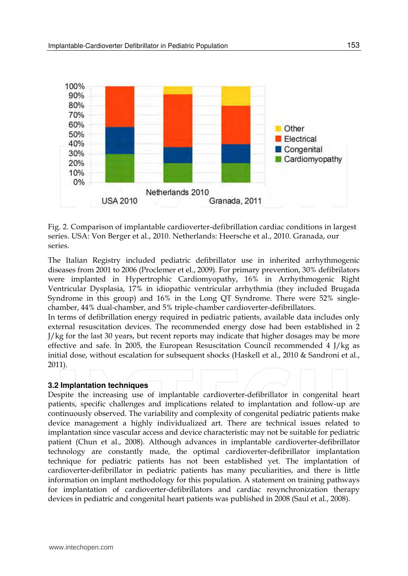

Fig. 2. Comparison of implantable cardioverter-defibrillation cardiac conditions in largest series. USA: Von Berger et al., 2010. Netherlands: Heersche et al., 2010. Granada, our series.

The Italian Registry included pediatric defibrillator use in inherited arrhythmogenic diseases from 2001 to 2006 (Proclemer et el., 2009). For primary prevention, 30% defibrilators were implanted in Hypertrophic Cardiomyopathy, 16% in Arrhythmogenic Right Ventricular Dysplasia, 17% in idiopathic ventricular arrhythmia (they included Brugada Syndrome in this group) and 16% in the Long QT Syndrome. There were 52% singlechamber, 44% dual-chamber, and 5% triple-chamber cardioverter-defibrillators.

In terms of defibrillation energy required in pediatric patients, available data includes only external resuscitation devices. The recommended energy dose had been established in 2 J/kg for the last 30 years, but recent reports may indicate that higher dosages may be more effective and safe. In 2005, the European Resuscitation Council recommended 4 J/kg as initial dose, without escalation for subsequent shocks (Haskell et al., 2010 & Sandroni et al., 2011).

#### **3.2 Implantation techniques**

Despite the increasing use of implantable cardioverter-defibrillator in congenital heart patients, specific challenges and implications related to implantation and follow-up are continuously observed. The variability and complexity of congenital pediatric patients make device management a highly individualized art. There are technical issues related to implantation since vascular access and device characteristic may not be suitable for pediatric patient (Chun et al., 2008). Although advances in implantable cardioverter-defibrillator technology are constantly made, the optimal cardioverter-defibrillator implantation technique for pediatric patients has not been established yet. The implantation of cardioverter-defibrillator in pediatric patients has many peculiarities, and there is little information on implant methodology for this population. A statement on training pathways for implantation of cardioverter-defibrillators and cardiac resynchronization therapy devices in pediatric and congenital heart patients was published in 2008 (Saul et al., 2008).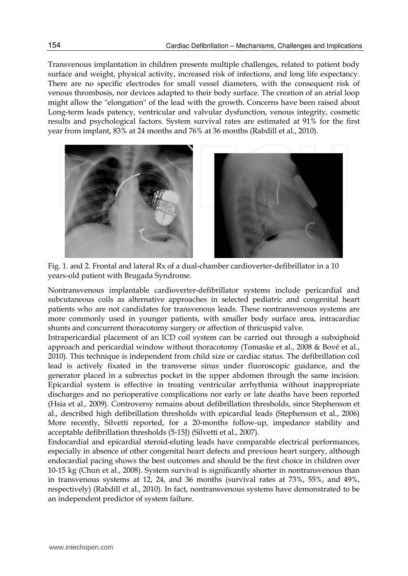Transvenous implantation in children presents multiple challenges, related to patient body surface and weight, physical activity, increased risk of infections, and long life expectancy. There are no specific electrodes for small vessel diameters, with the consequent risk of venous thrombosis, nor devices adapted to their body surface. The creation of an atrial loop might allow the ''elongation'' of the lead with the growth. Concerns have been raised about Long-term leads patency, ventricular and valvular dysfunction, venous integrity, cosmetic results and psychological factors. System survival rates are estimated at 91% for the first year from implant, 83% at 24 months and 76% at 36 months (Rabdill et al., 2010).



Fig. 1. and 2. Frontal and lateral Rx of a dual-chamber cardioverter-defibrillator in a 10 years-old patient with Brugada Syndrome.

Nontransvenous implantable cardioverter-defibrillator systems include pericardial and subcutaneous coils as alternative approaches in selected pediatric and congenital heart patients who are not candidates for transvenous leads. These nontransvenous systems are more commonly used in younger patients, with smaller body surface area, intracardiac shunts and concurrent thoracotomy surgery or affection of thricuspid valve.

Intrapericardial placement of an ICD coil system can be carried out through a subxiphoid approach and pericardial window without thoracotomy (Tomaske et al., 2008 & Bové et al., 2010). This technique is independent from child size or cardiac status. The defibrillation coil lead is actively fixated in the transverse sinus under fluoroscopic guidance, and the generator placed in a subrectus pocket in the upper abdomen through the same incision. Epicardial system is effective in treating ventricular arrhythmia without inappropriate discharges and no perioperative complications nor early or late deaths have been reported (Hsia et al., 2009). Controversy remains about defibrillation thresholds, since Stephenson et al., described high defibrillation thresholds with epicardial leads (Stephenson et al., 2006) More recently, Silvetti reported, for a 20-months follow-up, impedance stability and acceptable defibrillation thresholds (5-15J) (Silvetti et al., 2007).

Endocardial and epicardial steroid-eluting leads have comparable electrical performances, especially in absence of other congenital heart defects and previous heart surgery, although endocardial pacing shows the best outcomes and should be the first choice in children over 10-15 kg (Chun et al., 2008). System survival is significantly shorter in nontransvenous than in transvenous systems at 12, 24, and 36 months (survival rates at 73%, 55%, and 49%, respectively) (Rabdill et al., 2010). In fact, nontransvenous systems have demonstrated to be an independent predictor of system failure.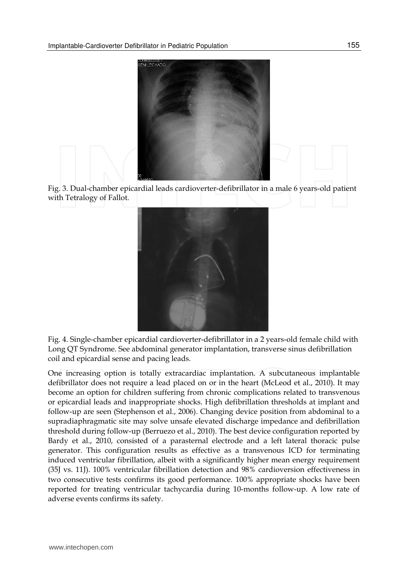





Fig. 4. Single-chamber epicardial cardioverter-defibrillator in a 2 years-old female child with Long QT Syndrome. See abdominal generator implantation, transverse sinus defibrillation coil and epicardial sense and pacing leads.

One increasing option is totally extracardiac implantation. A subcutaneous implantable defibrillator does not require a lead placed on or in the heart (McLeod et al., 2010). It may become an option for children suffering from chronic complications related to transvenous or epicardial leads and inappropriate shocks. High defibrillation thresholds at implant and follow-up are seen (Stephenson et al., 2006). Changing device position from abdominal to a supradiaphragmatic site may solve unsafe elevated discharge impedance and defibrillation threshold during follow-up (Berruezo et al., 2010). The best device configuration reported by Bardy et al., 2010, consisted of a parasternal electrode and a left lateral thoracic pulse generator. This configuration results as effective as a transvenous ICD for terminating induced ventricular fibrillation, albeit with a significantly higher mean energy requirement (35J vs. 11J). 100% ventricular fibrillation detection and 98% cardioversion effectiveness in two consecutive tests confirms its good performance. 100% appropriate shocks have been reported for treating ventricular tachycardia during 10-months follow-up. A low rate of adverse events confirms its safety.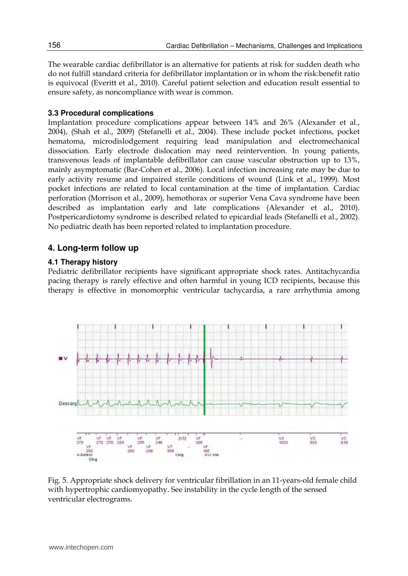The wearable cardiac defibrillator is an alternative for patients at risk for sudden death who do not fulfill standard criteria for defibrillator implantation or in whom the risk:benefit ratio is equivocal (Everitt et al., 2010). Careful patient selection and education result essential to ensure safety, as noncompliance with wear is common.

#### **3.3 Procedural complications**

Implantation procedure complications appear between 14% and 26% (Alexander et al., 2004), (Shah et al., 2009) (Stefanelli et al., 2004). These include pocket infections, pocket hematoma, microdislodgement requiring lead manipulation and electromechanical dissociation. Early electrode dislocation may need reintervention. In young patients, transvenous leads of implantable defibrillator can cause vascular obstruction up to 13%, mainly asymptomatic (Bar-Cohen et al., 2006). Local infection increasing rate may be due to early activity resume and impaired sterile conditions of wound (Link et al., 1999). Most pocket infections are related to local contamination at the time of implantation. Cardiac perforation (Morrison et al., 2009), hemothorax or superior Vena Cava syndrome have been described as implantation early and late complications (Alexander et al., 2010). Postpericardiotomy syndrome is described related to epicardial leads (Stefanelli et al., 2002). No pediatric death has been reported related to implantation procedure.

#### **4. Long-term follow up**

#### **4.1 Therapy history**

Pediatric defibrillator recipients have significant appropriate shock rates. Antitachycardia pacing therapy is rarely effective and often harmful in young ICD recipients, because this therapy is effective in monomorphic ventricular tachycardia, a rare arrhythmia among



Fig. 5. Appropriate shock delivery for ventricular fibrillation in an 11-years-old female child with hypertrophic cardiomyopathy. See instability in the cycle length of the sensed ventricular electrograms.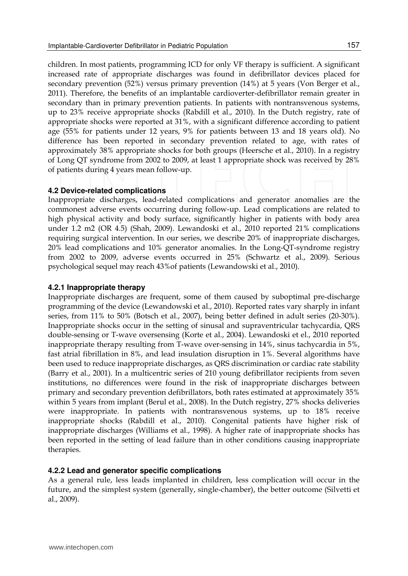children. In most patients, programming ICD for only VF therapy is sufficient. A significant increased rate of appropriate discharges was found in defibrillator devices placed for secondary prevention (52%) versus primary prevention (14%) at 5 years (Von Berger et al., 2011). Therefore, the benefits of an implantable cardioverter-defibrillator remain greater in secondary than in primary prevention patients. In patients with nontransvenous systems, up to 23% receive appropriate shocks (Rabdill et al., 2010). In the Dutch registry, rate of appropriate shocks were reported at 31%, with a significant difference according to patient age (55% for patients under 12 years, 9% for patients between 13 and 18 years old). No difference has been reported in secondary prevention related to age, with rates of approximately 38% appropriate shocks for both groups (Heersche et al., 2010). In a registry of Long QT syndrome from 2002 to 2009, at least 1 appropriate shock was received by 28% of patients during 4 years mean follow-up.

#### **4.2 Device-related complications**

Inappropriate discharges, lead-related complications and generator anomalies are the commonest adverse events occurring during follow-up. Lead complications are related to high physical activity and body surface, significantly higher in patients with body area under 1.2 m2 (OR 4.5) (Shah, 2009). Lewandoski et al., 2010 reported 21% complications requiring surgical intervention. In our series, we describe 20% of inappropriate discharges, 20% lead complications and 10% generator anomalies. In the Long-QT-syndrome registry from 2002 to 2009, adverse events occurred in 25% (Schwartz et al., 2009). Serious psychological sequel may reach 43%of patients (Lewandowski et al., 2010).

#### **4.2.1 Inappropriate therapy**

Inappropriate discharges are frequent, some of them caused by suboptimal pre-discharge programming of the device (Lewandowski et al., 2010). Reported rates vary sharply in infant series, from 11% to 50% (Botsch et al., 2007), being better defined in adult series (20-30%). Inappropriate shocks occur in the setting of sinusal and supraventricular tachycardia, QRS double-sensing or T-wave oversensing (Korte et al., 2004). Lewandoski et el., 2010 reported inappropriate therapy resulting from T-wave over-sensing in 14%, sinus tachycardia in 5%, fast atrial fibrillation in 8%, and lead insulation disruption in 1%. Several algorithms have been used to reduce inappropriate discharges, as QRS discrimination or cardiac rate stability (Barry et al., 2001). In a multicentric series of 210 young defibrillator recipients from seven institutions, no differences were found in the risk of inappropriate discharges between primary and secondary prevention defibrillators, both rates estimated at approximately 35% within 5 years from implant (Berul et al., 2008). In the Dutch registry, 27% shocks deliveries were inappropriate. In patients with nontransvenous systems, up to 18% receive inappropriate shocks (Rabdill et al., 2010). Congenital patients have higher risk of inappropriate discharges (Williams et al., 1998). A higher rate of inappropriate shocks has been reported in the setting of lead failure than in other conditions causing inappropriate therapies.

#### **4.2.2 Lead and generator specific complications**

As a general rule, less leads implanted in children, less complication will occur in the future, and the simplest system (generally, single-chamber), the better outcome (Silvetti et al., 2009).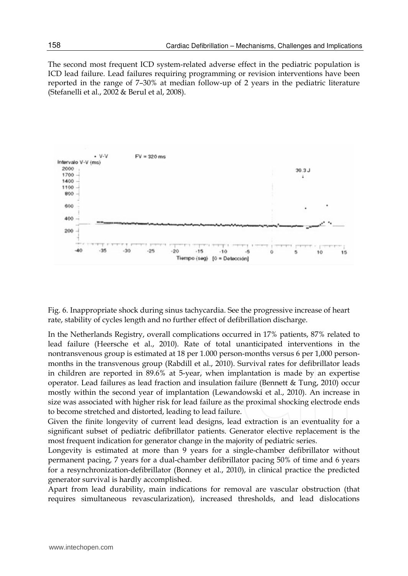The second most frequent ICD system-related adverse effect in the pediatric population is ICD lead failure. Lead failures requiring programming or revision interventions have been reported in the range of 7–30% at median follow-up of 2 years in the pediatric literature (Stefanelli et al., 2002 & Berul et al, 2008).



Fig. 6. Inappropriate shock during sinus tachycardia. See the progressive increase of heart rate, stability of cycles length and no further effect of defibrillation discharge.

In the Netherlands Registry, overall complications occurred in 17% patients, 87% related to lead failure (Heersche et al., 2010). Rate of total unanticipated interventions in the nontransvenous group is estimated at 18 per 1.000 person-months versus 6 per 1,000 personmonths in the transvenous group (Rabdill et al., 2010). Survival rates for defibrillator leads in children are reported in 89.6% at 5-year, when implantation is made by an expertise operator. Lead failures as lead fraction and insulation failure (Bennett & Tung, 2010) occur mostly within the second year of implantation (Lewandowski et al., 2010). An increase in size was associated with higher risk for lead failure as the proximal shocking electrode ends to become stretched and distorted, leading to lead failure.

Given the finite longevity of current lead designs, lead extraction is an eventuality for a significant subset of pediatric defibrillator patients. Generator elective replacement is the most frequent indication for generator change in the majority of pediatric series.

Longevity is estimated at more than 9 years for a single-chamber defibrillator without permanent pacing, 7 years for a dual-chamber defibrillator pacing 50% of time and 6 years for a resynchronization-defibrillator (Bonney et al., 2010), in clinical practice the predicted generator survival is hardly accomplished.

Apart from lead durability, main indications for removal are vascular obstruction (that requires simultaneous revascularization), increased thresholds, and lead dislocations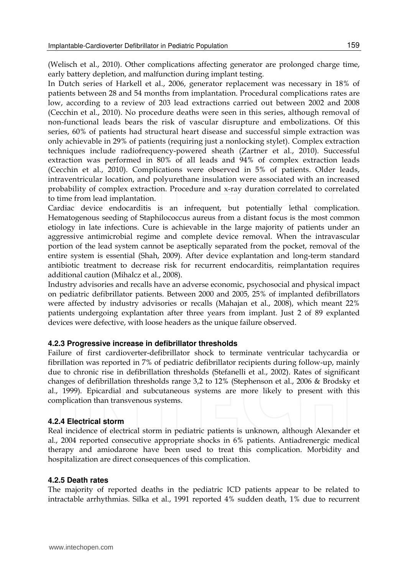(Welisch et al., 2010). Other complications affecting generator are prolonged charge time, early battery depletion, and malfunction during implant testing.

In Dutch series of Harkell et al., 2006, generator replacement was necessary in 18% of patients between 28 and 54 months from implantation. Procedural complications rates are low, according to a review of 203 lead extractions carried out between 2002 and 2008 (Cecchin et al., 2010). No procedure deaths were seen in this series, although removal of non-functional leads bears the risk of vascular disrupture and embolizations. Of this series, 60% of patients had structural heart disease and successful simple extraction was only achievable in 29% of patients (requiring just a nonlocking stylet). Complex extraction techniques include radiofrequency-powered sheath (Zartner et al., 2010). Successful extraction was performed in 80% of all leads and 94% of complex extraction leads (Cecchin et al., 2010). Complications were observed in 5% of patients. Older leads, intraventricular location, and polyurethane insulation were associated with an increased probability of complex extraction. Procedure and x-ray duration correlated to correlated to time from lead implantation.

Cardiac device endocarditis is an infrequent, but potentially lethal complication. Hematogenous seeding of Staphilococcus aureus from a distant focus is the most common etiology in late infections. Cure is achievable in the large majority of patients under an aggressive antimicrobial regime and complete device removal. When the intravascular portion of the lead system cannot be aseptically separated from the pocket, removal of the entire system is essential (Shah, 2009). After device explantation and long-term standard antibiotic treatment to decrease risk for recurrent endocarditis, reimplantation requires additional caution (Mihalcz et al., 2008).

Industry advisories and recalls have an adverse economic, psychosocial and physical impact on pediatric defibrillator patients. Between 2000 and 2005, 25% of implanted defibrillators were affected by industry advisories or recalls (Mahajan et al., 2008), which meant 22% patients undergoing explantation after three years from implant. Just 2 of 89 explanted devices were defective, with loose headers as the unique failure observed.

#### **4.2.3 Progressive increase in defibrillator thresholds**

Failure of first cardioverter-defibrillator shock to terminate ventricular tachycardia or fibrillation was reported in 7% of pediatric defibrillator recipients during follow-up, mainly due to chronic rise in defibrillation thresholds (Stefanelli et al., 2002). Rates of significant changes of defibrillation thresholds range 3,2 to 12% (Stephenson et al., 2006 & Brodsky et al., 1999). Epicardial and subcutaneous systems are more likely to present with this complication than transvenous systems.

#### **4.2.4 Electrical storm**

Real incidence of electrical storm in pediatric patients is unknown, although Alexander et al., 2004 reported consecutive appropriate shocks in 6% patients. Antiadrenergic medical therapy and amiodarone have been used to treat this complication. Morbidity and hospitalization are direct consequences of this complication.

#### **4.2.5 Death rates**

The majority of reported deaths in the pediatric ICD patients appear to be related to intractable arrhythmias. Silka et al., 1991 reported 4% sudden death, 1% due to recurrent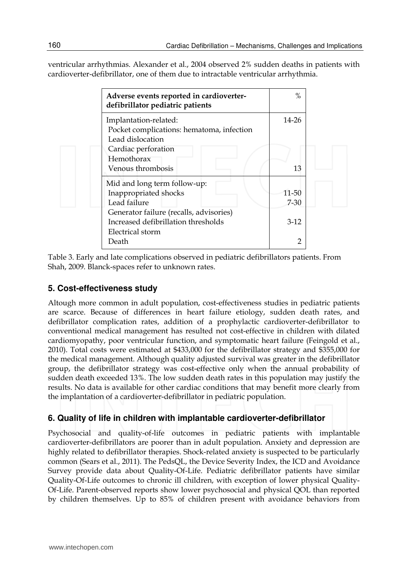ventricular arrhythmias. Alexander et al., 2004 observed 2% sudden deaths in patients with cardioverter-defibrillator, one of them due to intractable ventricular arrhythmia.

| Adverse events reported in cardioverter-<br>defibrillator pediatric patients           | $\%$           |
|----------------------------------------------------------------------------------------|----------------|
| Implantation-related:<br>Pocket complications: hematoma, infection<br>Lead dislocation | 14-26          |
| Cardiac perforation<br>Hemothorax                                                      |                |
| Venous thrombosis                                                                      | 13             |
| Mid and long term follow-up:                                                           |                |
| Inappropriated shocks                                                                  | 11-50          |
| Lead failure                                                                           | $7 - 30$       |
| Generator failure (recalls, advisories)                                                |                |
| Increased defibrillation thresholds                                                    | $3-12$         |
| Electrical storm                                                                       |                |
| Death                                                                                  | $\overline{2}$ |

Table 3. Early and late complications observed in pediatric defibrillators patients. From Shah, 2009. Blanck-spaces refer to unknown rates.

## **5. Cost-effectiveness study**

Altough more common in adult population, cost-effectiveness studies in pediatric patients are scarce. Because of differences in heart failure etiology, sudden death rates, and defibrillator complication rates, addition of a prophylactic cardioverter-defibrillator to conventional medical management has resulted not cost-effective in children with dilated cardiomyopathy, poor ventricular function, and symptomatic heart failure (Feingold et al., 2010). Total costs were estimated at \$433,000 for the defibrillator strategy and \$355,000 for the medical management. Although quality adjusted survival was greater in the defibrillator group, the defibrillator strategy was cost-effective only when the annual probability of sudden death exceeded 13%. The low sudden death rates in this population may justify the results. No data is available for other cardiac conditions that may benefit more clearly from the implantation of a cardioverter-defibrillator in pediatric population.

## **6. Quality of life in children with implantable cardioverter-defibrillator**

Psychosocial and quality-of-life outcomes in pediatric patients with implantable cardioverter-defibrillators are poorer than in adult population. Anxiety and depression are highly related to defibrillator therapies. Shock-related anxiety is suspected to be particularly common (Sears et al., 2011). The PedsQL, the Device Severity Index, the ICD and Avoidance Survey provide data about Quality-Of-Life. Pediatric defibrillator patients have similar Quality-Of-Life outcomes to chronic ill children, with exception of lower physical Quality-Of-Life. Parent-observed reports show lower psychosocial and physical QOL than reported by children themselves. Up to 85% of children present with avoidance behaviors from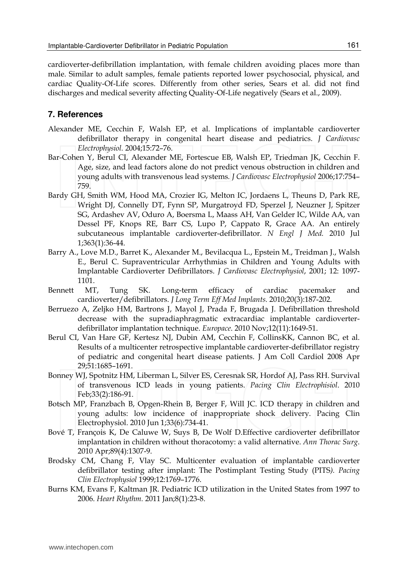cardioverter-defibrillation implantation, with female children avoiding places more than male. Similar to adult samples, female patients reported lower psychosocial, physical, and cardiac Quality-Of-Life scores. Differently from other series, Sears et al. did not find discharges and medical severity affecting Quality-Of-Life negatively (Sears et al., 2009).

### **7. References**

- Alexander ME, Cecchin F, Walsh EP, et al. Implications of implantable cardioverter defibrillator therapy in congenital heart disease and pediatrics. *J Cardiovasc Electrophysiol.* 2004;15:72–76.
- Bar-Cohen Y, Berul CI, Alexander ME, Fortescue EB, Walsh EP, Triedman JK, Cecchin F. Age, size, and lead factors alone do not predict venous obstruction in children and young adults with transvenous lead systems*. J Cardiovasc Electrophysiol* 2006;17:754– 759.
- Bardy GH, Smith WM, Hood MA, Crozier IG, Melton IC, Jordaens L, Theuns D, Park RE, Wright DJ, Connelly DT, Fynn SP, Murgatroyd FD, Sperzel J, Neuzner J, Spitzer SG, Ardashev AV, Oduro A, Boersma L, Maass AH, Van Gelder IC, Wilde AA, van Dessel PF, Knops RE, Barr CS, Lupo P, Cappato R, Grace AA. An entirely subcutaneous implantable cardioverter-defibrillator. *N Engl J Med.* 2010 Jul 1;363(1):36-44.
- Barry A., Love M.D., Barret K., Alexander M., Bevilacqua L., Epstein M., Treidman J., Walsh E., Berul C. Supraventricular Arrhythmias in Children and Young Adults with Implantable Cardioverter Defibrillators. *J Cardiovasc Electrophysiol*, 2001; 12: 1097- 1101.
- Bennett MT, Tung SK. Long-term efficacy of cardiac pacemaker and cardioverter/defibrillators. *J Long Term Eff Med Implants.* 2010;20(3):187-202.
- Berruezo A, Zeljko HM, Bartrons J, Mayol J, Prada F, Brugada J. Defibrillation threshold decrease with the supradiaphragmatic extracardiac implantable cardioverterdefibrillator implantation technique. *Europace*. 2010 Nov;12(11):1649-51.
- Berul CI, Van Hare GF, Kertesz NJ, Dubin AM, Cecchin F, CollinsKK, Cannon BC, et al. Results of a multicenter retrospective implantable cardioverter-defibrillator registry of pediatric and congenital heart disease patients. J Am Coll Cardiol 2008 Apr 29;51:1685–1691.
- Bonney WJ, Spotnitz HM, Liberman L, Silver ES, Ceresnak SR, Hordof AJ, Pass RH. Survival of transvenous ICD leads in young patients. *Pacing Clin Electrophisiol*. 2010 Feb;33(2):186-91.
- Botsch MP, Franzbach B, Opgen-Rhein B, Berger F, Will JC. ICD therapy in children and young adults: low incidence of inappropriate shock delivery. Pacing Clin Electrophysiol. 2010 Jun 1;33(6):734-41.
- Bové T, François K, De Caluwe W, Suys B, De Wolf D.Effective cardioverter defibrillator implantation in children without thoracotomy: a valid alternative. *Ann Thorac Surg*. 2010 Apr;89(4):1307-9.
- Brodsky CM, Chang F, Vlay SC. Multicenter evaluation of implantable cardioverter defibrillator testing after implant: The Postimplant Testing Study (PITS*). Pacing Clin Electrophysiol* 1999;12:1769–1776.
- Burns KM, Evans F, Kaltman JR. Pediatric ICD utilization in the United States from 1997 to 2006. *Heart Rhythm.* 2011 Jan;8(1):23-8.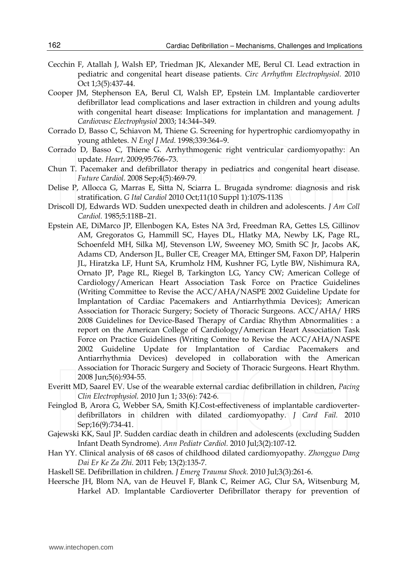- Cecchin F, Atallah J, Walsh EP, Triedman JK, Alexander ME, Berul CI. Lead extraction in pediatric and congenital heart disease patients. *Circ Arrhythm Electrophysiol.* 2010 Oct 1;3(5):437-44.
- Cooper JM, Stephenson EA, Berul CI, Walsh EP, Epstein LM. Implantable cardioverter defibrillator lead complications and laser extraction in children and young adults with congenital heart disease: Implications for implantation and management*. J Cardiovasc Electrophysiol* 2003; 14:344–349.
- Corrado D, Basso C, Schiavon M, Thiene G. Screening for hypertrophic cardiomyopathy in young athletes. *N Engl J Med.* 1998;339:364–9.
- Corrado D, Basso C, Thiene G. Arrhythmogenic right ventricular cardiomyopathy: An update. *Heart*. 2009;95:766–73.
- Chun T. Pacemaker and defibrillator therapy in pediatrics and congenital heart disease. *Future Cardiol.* 2008 Sep;4(5):469-79.
- Delise P, Allocca G, Marras E, Sitta N, Sciarra L. Brugada syndrome: diagnosis and risk stratification. *G Ital Cardiol* 2010 Oct;11(10 Suppl 1):107S-113S
- Driscoll DJ, Edwards WD. Sudden unexpected death in children and adolescents. *J Am Coll Cardiol.* 1985;5:118B–21.
- Epstein AE, DiMarco JP, Ellenbogen KA, Estes NA 3rd, Freedman RA, Gettes LS, Gillinov AM, Gregoratos G, Hammill SC, Hayes DL, Hlatky MA, Newby LK, Page RL, Schoenfeld MH, Silka MJ, Stevenson LW, Sweeney MO, Smith SC Jr, Jacobs AK, Adams CD, Anderson JL, Buller CE, Creager MA, Ettinger SM, Faxon DP, Halperin JL, Hiratzka LF, Hunt SA, Krumholz HM, Kushner FG, Lytle BW, Nishimura RA, Ornato JP, Page RL, Riegel B, Tarkington LG, Yancy CW; American College of Cardiology/American Heart Association Task Force on Practice Guidelines (Writing Committee to Revise the ACC/AHA/NASPE 2002 Guideline Update for Implantation of Cardiac Pacemakers and Antiarrhythmia Devices); American Association for Thoracic Surgery; Society of Thoracic Surgeons. ACC/AHA/ HRS 2008 Guidelines for Device-Based Therapy of Cardiac Rhythm Abnormalities : a report on the American College of Cardiology/American Heart Association Task Force on Practice Guidelines (Writing Comitee to Revise the ACC/AHA/NASPE 2002 Guideline Update for Implantation of Cardiac Pacemakers and Antiarrhythmia Devices) developed in collaboration with the American Association for Thoracic Surgery and Society of Thoracic Surgeons. Heart Rhythm. 2008 Jun;5(6):934-55.
- Everitt MD, Saarel EV. Use of the wearable external cardiac defibrillation in children, *Pacing Clin Electrophysiol.* 2010 Jun 1; 33(6): 742-6.
- Feinglod B, Arora G, Webber SA, Smith KJ.Cost-effectiveness of implantable cardioverterdefibrillators in children with dilated cardiomyopathy. *J Card Fail.* 2010 Sep;16(9):734-41.
- Gajewski KK, Saul JP. Sudden cardiac death in children and adolescents (excluding Sudden Infant Death Syndrome). *Ann Pediatr Cardiol.* 2010 Jul;3(2):107-12.
- Han YY. Clinical analysis of 68 casos of childhood dilated cardiomyopathy. *Zhongguo Dang Dai Er Ke Za Zhi.* 2011 Feb; 13(2):135-7.
- Haskell SE. Defibrillation in children. *J Emerg Trauma Shock.* 2010 Jul;3(3):261-6.
- Heersche JH, Blom NA, van de Heuvel F, Blank C, Reimer AG, Clur SA, Witsenburg M, Harkel AD. Implantable Cardioverter Defibrillator therapy for prevention of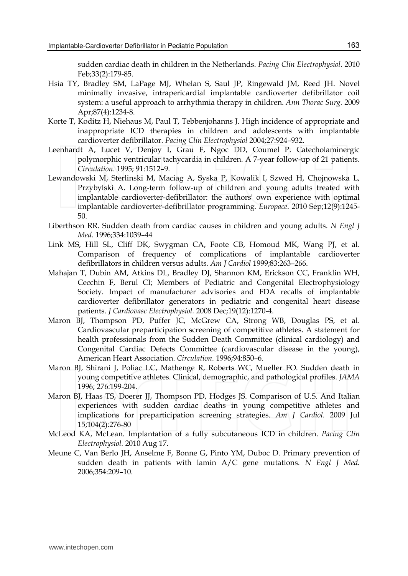sudden cardiac death in children in the Netherlands. *Pacing Clin Electrophysiol.* 2010 Feb;33(2):179-85.

- Hsia TY, Bradley SM, LaPage MJ, Whelan S, Saul JP, Ringewald JM, Reed JH. Novel minimally invasive, intrapericardial implantable cardioverter defibrillator coil system: a useful approach to arrhythmia therapy in children. *Ann Thorac Surg.* 2009 Apr;87(4):1234-8.
- Korte T, Koditz H, Niehaus M, Paul T, Tebbenjohanns J. High incidence of appropriate and inappropriate ICD therapies in children and adolescents with implantable cardioverter defibrillator. *Pacing Clin Electrophysiol* 2004;27:924–932.
- Leenhardt A, Lucet V, Denjoy I, Grau F, Ngoc DD, Coumel P. Catecholaminergic polymorphic ventricular tachycardia in children. A 7-year follow-up of 21 patients. *Circulation*. 1995; 91:1512–9.
- Lewandowski M, Sterlinski M, Maciag A, Syska P, Kowalik I, Szwed H, Chojnowska L, Przybylski A. Long-term follow-up of children and young adults treated with implantable cardioverter-defibrillator: the authors' own experience with optimal implantable cardioverter-defibrillator programming. *Europace*. 2010 Sep;12(9):1245- 50.
- Liberthson RR. Sudden death from cardiac causes in children and young adults. *N Engl J Med.* 1996;334:1039–44
- Link MS, Hill SL, Cliff DK, Swygman CA, Foote CB, Homoud MK, Wang PJ, et al. Comparison of frequency of complications of implantable cardioverter defibrillators in children versus adults*. Am J Cardiol* 1999;83:263–266.
- Mahajan T, Dubin AM, Atkins DL, Bradley DJ, Shannon KM, Erickson CC, Franklin WH, Cecchin F, Berul CI; Members of Pediatric and Congenital Electrophysiology Society. Impact of manufacturer advisories and FDA recalls of implantable cardioverter defibrillator generators in pediatric and congenital heart disease patients. *J Cardiovasc Electrophysiol.* 2008 Dec;19(12):1270-4.
- Maron BJ, Thompson PD, Puffer JC, McGrew CA, Strong WB, Douglas PS, et al. Cardiovascular preparticipation screening of competitive athletes. A statement for health professionals from the Sudden Death Committee (clinical cardiology) and Congenital Cardiac Defects Committee (cardiovascular disease in the young), American Heart Association. *Circulation.* 1996;94:850–6.
- Maron BJ, Shirani J, Poliac LC, Mathenge R, Roberts WC, Mueller FO. Sudden death in young competitive athletes. Clinical, demographic, and pathological profiles. *JAMA* 1996; 276:199-204.
- Maron BJ, Haas TS, Doerer JJ, Thompson PD, Hodges JS. Comparison of U.S. And Italian experiences with sudden cardiac deaths in young competitive athletes and implications for preparticipation screening strategies. *Am J Cardiol.* 2009 Jul 15;104(2):276-80
- McLeod KA, McLean. Implantation of a fully subcutaneous ICD in children. *Pacing Clin Electrophysiol.* 2010 Aug 17.
- Meune C, Van Berlo JH, Anselme F, Bonne G, Pinto YM, Duboc D. Primary prevention of sudden death in patients with lamin A/C gene mutations. *N Engl J Med.* 2006;354:209–10.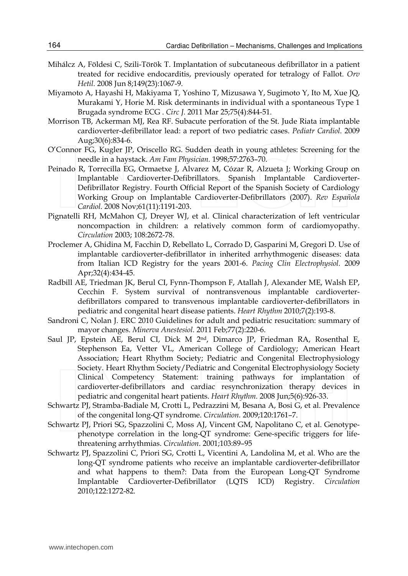- Mihálcz A, Földesi C, Szili-Török T. Implantation of subcutaneous defibrillator in a patient treated for recidive endocarditis, previously operated for tetralogy of Fallot. *Orv Hetil.* 2008 Jun 8;149(23):1067-9.
- Miyamoto A, Hayashi H, Makiyama T, Yoshino T, Mizusawa Y, Sugimoto Y, Ito M, Xue JQ, Murakami Y, Horie M. Risk determinants in individual with a spontaneous Type 1 Brugada syndrome ECG . *Circ J.* 2011 Mar 25;75(4):844-51.
- Morrison TB, Ackerman MJ, Rea RF. Subacute perforation of the St. Jude Riata implantable cardioverter-defibrillator lead: a report of two pediatric cases. *Pediatr Cardiol.* 2009 Aug;30(6):834-6.
- O'Connor FG, Kugler JP, Oriscello RG. Sudden death in young athletes: Screening for the needle in a haystack. *Am Fam Physician.* 1998;57:2763–70.
- Peinado R, Torrecilla EG, Ormaetxe J, Alvarez M, Cózar R, Alzueta J; Working Group on Implantable Cardioverter-Defibrillators. Spanish Implantable Cardioverter-Defibrillator Registry. Fourth Official Report of the Spanish Society of Cardiology Working Group on Implantable Cardioverter-Defibrillators (2007). *Rev Española Cardiol*. 2008 Nov;61(11):1191-203.
- Pignatelli RH, McMahon CJ, Dreyer WJ, et al. Clinical characterization of left ventricular noncompaction in children: a relatively common form of cardiomyopathy. *Circulation* 2003; 108:2672-78.
- Proclemer A, Ghidina M, Facchin D, Rebellato L, Corrado D, Gasparini M, Gregori D. Use of implantable cardioverter-defibrillator in inherited arrhythmogenic diseases: data from Italian ICD Registry for the years 2001-6. *Pacing Clin Electrophysiol.* 2009 Apr;32(4):434-45.
- Radbill AE, Triedman JK, Berul CI, Fynn-Thompson F, Atallah J, Alexander ME, Walsh EP, Cecchin F. System survival of nontransvenous implantable cardioverterdefibrillators compared to transvenous implantable cardioverter-defibrillators in pediatric and congenital heart disease patients. *Heart Rhythm* 2010;7(2):193-8.
- Sandroni C, Nolan J. ERC 2010 Guidelines for adult and pediatric resucitation: summary of mayor changes. *Minerva Anestesiol.* 2011 Feb;77(2):220-6.
- Saul JP, Epstein AE, Berul CI, Dick M 2nd, Dimarco JP, Friedman RA, Rosenthal E, Stephenson Ea, Vetter VL, American College of Cardiology; American Heart Association; Heart Rhythm Society; Pediatric and Congenital Electrophysiology Society. Heart Rhythm Society/Pediatric and Congenital Electrophysiology Society Clinical Competency Statement: training pathways for implantation of cardioverter-defibrillators and cardiac resynchronization therapy devices in pediatric and congenital heart patients. *Heart Rhythm.* 2008 Jun;5(6):926-33.
- Schwartz PJ, Stramba-Badiale M, Crotti L, Pedrazzini M, Besana A, Bosi G, et al. Prevalence of the congenital long-QT syndrome. *Circulation.* 2009;120:1761–7.
- Schwartz PJ, Priori SG, Spazzolini C, Moss AJ, Vincent GM, Napolitano C, et al. Genotypephenotype correlation in the long-QT syndrome: Gene-specific triggers for lifethreatening arrhythmias. *Circulation*. 2001;103:89–95
- Schwartz PJ, Spazzolini C, Priori SG, Crotti L, Vicentini A, Landolina M, et al. Who are the long-QT syndrome patients who receive an implantable cardioverter-defibrillator and what happens to them?: Data from the European Long-QT Syndrome Implantable Cardioverter-Defibrillator (LQTS ICD) Registry. *Circulation* 2010;122:1272-82.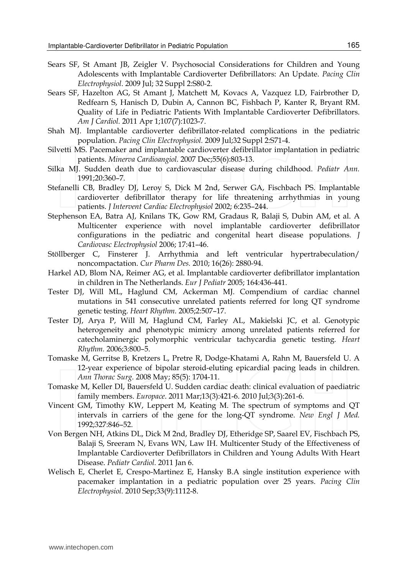- Sears SF, St Amant JB, Zeigler V. Psychosocial Considerations for Children and Young Adolescents with Implantable Cardioverter Defibrillators: An Update. *Pacing Clin Electrophysiol*. 2009 Jul; 32 Suppl 2:S80-2.
- Sears SF, Hazelton AG, St Amant J, Matchett M, Kovacs A, Vazquez LD, Fairbrother D, Redfearn S, Hanisch D, Dubin A, Cannon BC, Fishbach P, Kanter R, Bryant RM. Quality of Life in Pediatric Patients With Implantable Cardioverter Defibrillators. *Am J Cardiol.* 2011 Apr 1;107(7):1023-7.
- Shah MJ. Implantable cardioverter defibrillator-related complications in the pediatric population. *Pacing Clin Electrophysiol.* 2009 Jul;32 Suppl 2:S71-4.
- Silvetti MS. Pacemaker and implantable cardioverter defibrillator implantation in pediatric patients. *Minerva Cardioangiol.* 2007 Dec;55(6):803-13.
- Silka MJ. Sudden death due to cardiovascular disease during childhood. *Pediatr Ann.* 1991;20:360–7.
- Stefanelli CB, Bradley DJ, Leroy S, Dick M 2nd, Serwer GA, Fischbach PS. Implantable cardioverter defibrillator therapy for life threatening arrhythmias in young patients. *J Intervent Cardiac Electrophysiol* 2002; 6:235–244.
- Stephenson EA, Batra AJ, Knilans TK, Gow RM, Gradaus R, Balaji S, Dubin AM, et al. A Multicenter experience with novel implantable cardioverter defibrillator configurations in the pediatric and congenital heart disease populations*. J Cardiovasc Electrophysiol* 2006; 17:41–46.
- Stöllberger C, Finsterer J. Arrhythmia and left ventricular hypertrabeculation/ noncompactation. *Cur Pharm Des.* 2010; 16(26): 2880-94.
- Harkel AD, Blom NA, Reimer AG, et al. Implantable cardioverter defibrillator implantation in children in The Netherlands. *Eur J Pediatr* 2005; 164:436-441.
- Tester DJ, Will ML, Haglund CM, Ackerman MJ. Compendium of cardiac channel mutations in 541 consecutive unrelated patients referred for long QT syndrome genetic testing. *Heart Rhythm.* 2005;2:507–17.
- Tester DJ, Arya P, Will M, Haglund CM, Farley AL, Makielski JC, et al. Genotypic heterogeneity and phenotypic mimicry among unrelated patients referred for catecholaminergic polymorphic ventricular tachycardia genetic testing. *Heart Rhythm.* 2006;3:800–5.
- Tomaske M, Gerritse B, Kretzers L, Pretre R, Dodge-Khatami A, Rahn M, Bauersfeld U. A 12-year experience of bipolar steroid-eluting epicardial pacing leads in children. *Ann Thorac Surg.* 2008 May; 85(5): 1704-11.
- Tomaske M, Keller DI, Bauersfeld U. Sudden cardiac death: clinical evaluation of paediatric family members. *Europace*. 2011 Mar;13(3):421-6. 2010 Jul;3(3):261-6.
- Vincent GM, Timothy KW, Leppert M, Keating M. The spectrum of symptoms and QT intervals in carriers of the gene for the long-QT syndrome. *New Engl J Med.* 1992;327:846–52.
- Von Bergen NH, Atkins DL, Dick M 2nd, Bradley DJ, Etheridge SP, Saarel EV, Fischbach PS, Balaji S, Sreeram N, Evans WN, Law IH. Multicenter Study of the Effectiveness of Implantable Cardioverter Defibrillators in Children and Young Adults With Heart Disease. *Pediatr Cardiol.* 2011 Jan 6.
- Welisch E, Cherlet E, Crespo-Martinez E, Hansky B.A single institution experience with pacemaker implantation in a pediatric population over 25 years. *Pacing Clin Electrophysiol.* 2010 Sep;33(9):1112-8.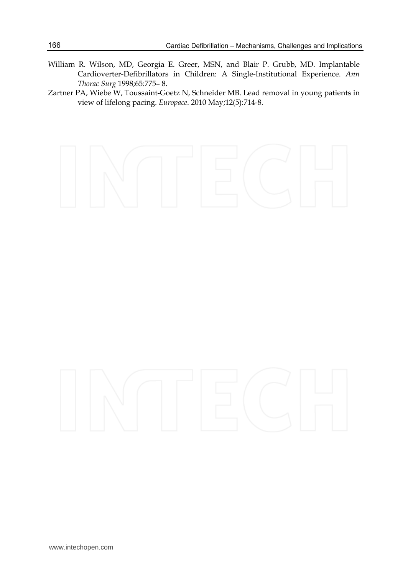- William R. Wilson, MD, Georgia E. Greer, MSN, and Blair P. Grubb, MD. Implantable Cardioverter-Defibrillators in Children: A Single-Institutional Experience. *Ann Thorac Surg* 1998;65:775– 8.
- Zartner PA, Wiebe W, Toussaint-Goetz N, Schneider MB. Lead removal in young patients in view of lifelong pacing. *Europace*. 2010 May;12(5):714-8.